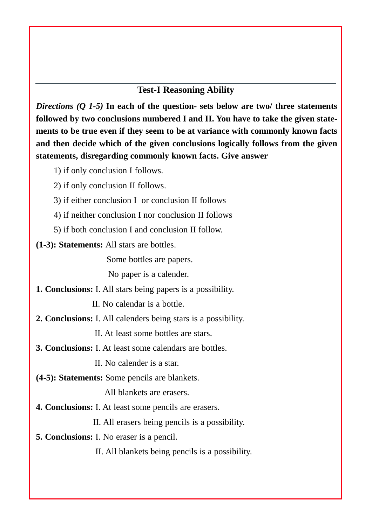#### **Test-I Reasoning Ability**

*Directions (Q 1-5)* **In each of the question- sets below are two/ three statements followed by two conclusions numbered I and II. You have to take the given state ments to be true even if they seem to be at variance with commonly known facts and then decide which of the given conclusions logically follows from the given statements, disregarding commonly known facts. Give answer**

- 1) if only conclusion I follows.
- 2) if only conclusion II follows.
- 3) if either conclusion I or conclusion II follows
- 4) if neither conclusion I nor conclusion II follows
- 5) if both conclusion I and conclusion II follow.
- **(1-3): Statements:** All stars are bottles.

Some bottles are papers.

No paper is a calender.

**1. Conclusions:** I. All stars being papers is a possibility.

II. No calendar is a bottle.

**2. Conclusions:** I. All calenders being stars is a possibility.

II. At least some bottles are stars.

**3. Conclusions:** I. At least some calendars are bottles.

II. No calender is a star.

**(4-5): Statements:** Some pencils are blankets.

All blankets are erasers.

**4. Conclusions:** I. At least some pencils are erasers.

II. All erasers being pencils is a possibility.

**5. Conclusions:** I. No eraser is a pencil.

II. All blankets being pencils is a possibility.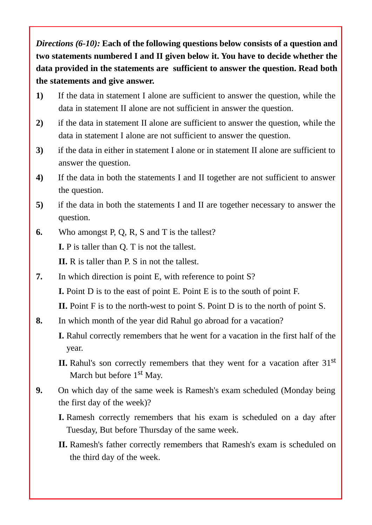*Directions (6-10):* **Each of the following questions below consists of a question and two statements numbered I and II given below it. You have to decide whether the data provided in the statements are sufficient to answer the question. Read both the statements and give answer.**

- **1)** If the data in statement I alone are sufficient to answer the question, while the data in statement II alone are not sufficient in answer the question.
- **2)** if the data in statement II alone are sufficient to answer the question, while the data in statement I alone are not sufficient to answer the question.
- **3)** if the data in either in statement I alone or in statement II alone are sufficient to answer the question.
- **4)** If the data in both the statements I and II together are not sufficient to answer the question.
- **5)** if the data in both the statements I and II are together necessary to answer the question.
- **6.** Who amongst P, Q, R, S and T is the tallest?

**I.** P is taller than Q. T is not the tallest.

**II.** R is taller than P. S in not the tallest.

**7.** In which direction is point E, with reference to point S?

**I.** Point D is to the east of point E. Point E is to the south of point F.

**II.** Point F is to the north-west to point S. Point D is to the north of point S.

- **8.** In which month of the year did Rahul go abroad for a vacation?
	- **I.** Rahul correctly remembers that he went for a vacation in the first half of the year.
	- **II.** Rahul's son correctly remembers that they went for a vacation after 31<sup>st</sup> March but before 1<sup>st</sup> May.
- **9.** On which day of the same week is Ramesh's exam scheduled (Monday being the first day of the week)?
	- **I.** Ramesh correctly remembers that his exam is scheduled on a day after Tuesday, But before Thursday of the same week.
	- **II.** Ramesh's father correctly remembers that Ramesh's exam is scheduled on the third day of the week.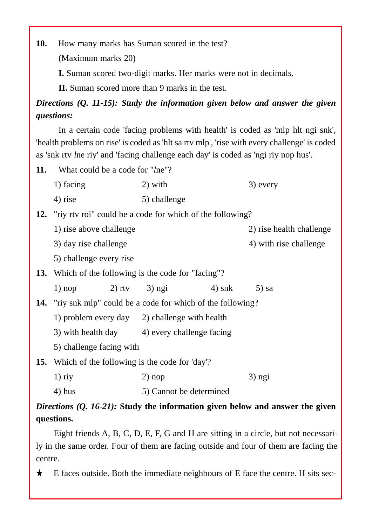**10.** How many marks has Suman scored in the test?

(Maximum marks 20)

**I.** Suman scored two-digit marks. Her marks were not in decimals.

**II.** Suman scored more than 9 marks in the test.

*Directions (Q. 11-15): Study the information given below and answer the given questions:*

In a certain code 'facing problems with health' is coded as 'mlp hlt ngi snk', 'health problems on rise' is coded as 'hlt sa rtv mlp', 'rise with every challenge' is coded as 'snk rtv *l*ne riy' and 'facing challenge each day' is coded as 'ngi riy nop hus'.

- **11.** What could be a code for "*l*ne"? 1) facing 2) with 3) every 4) rise 5) challenge **12.** "riy rtv roi" could be a code for which of the following? 1) rise above challenge 2) rise health challenge  $3)$  day rise challenge  $4)$  with rise challenge 5) challenge every rise **13.** Which of the following is the code for "facing"? 1) nop 2) rtv 3) ngi 4) snk 5) sa **14.** "riy snk mlp" could be a code for which of the following? 1) problem every day 2) challenge with health 3) with health day  $4)$  every challenge facing 5) challenge facing with **15.** Which of the following is the code for 'day'?
	- 1) riy 2) nop 3) ngi
	- 4) hus 5) Cannot be determined

## *Directions (Q. 16-21):* **Study the information given below and answer the given questions.**

Eight friends A, B, C, D, E, F, G and H are sitting in a circle, but not necessarily in the same order. Four of them are facing outside and four of them are facing the centre.

 $\star$  E faces outside. Both the immediate neighbours of E face the centre. H sits sec-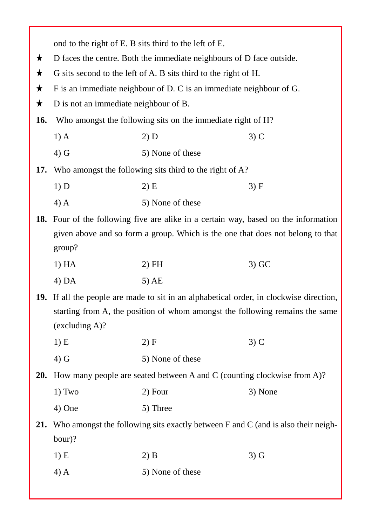|            |                                                                                          | ond to the right of E. B sits third to the left of E.                                                                                                                   |         |
|------------|------------------------------------------------------------------------------------------|-------------------------------------------------------------------------------------------------------------------------------------------------------------------------|---------|
| ★          | D faces the centre. Both the immediate neighbours of D face outside.                     |                                                                                                                                                                         |         |
| $\bigstar$ |                                                                                          | G sits second to the left of A. B sits third to the right of H.                                                                                                         |         |
| $\bigstar$ |                                                                                          | F is an immediate neighbour of D. C is an immediate neighbour of G.                                                                                                     |         |
| $\bigstar$ | D is not an immediate neighbour of B.                                                    |                                                                                                                                                                         |         |
| 16.        |                                                                                          | Who amongst the following sits on the immediate right of H?                                                                                                             |         |
|            | $1)$ A                                                                                   | 2) D                                                                                                                                                                    | $3)$ C  |
|            | $4)$ G                                                                                   | 5) None of these                                                                                                                                                        |         |
| 17.        |                                                                                          | Who amongst the following sits third to the right of A?                                                                                                                 |         |
|            | 1) D                                                                                     | $2)$ E                                                                                                                                                                  | 3) F    |
|            | $4)$ A                                                                                   | 5) None of these                                                                                                                                                        |         |
|            |                                                                                          | 18. Four of the following five are alike in a certain way, based on the information                                                                                     |         |
|            | given above and so form a group. Which is the one that does not belong to that<br>group? |                                                                                                                                                                         |         |
|            | 1) HA                                                                                    | $2)$ FH                                                                                                                                                                 | $3)$ GC |
|            | $4)$ DA                                                                                  | $5)$ AE                                                                                                                                                                 |         |
|            | (excluding A)?                                                                           | 19. If all the people are made to sit in an alphabetical order, in clockwise direction,<br>starting from A, the position of whom amongst the following remains the same |         |
|            | 1) E                                                                                     | 2) F                                                                                                                                                                    | $3)$ C  |
|            | $4)$ G                                                                                   | 5) None of these                                                                                                                                                        |         |
| <b>20.</b> |                                                                                          | How many people are seated between A and C (counting clockwise from A)?                                                                                                 |         |
|            | 1) Two                                                                                   | 2) Four                                                                                                                                                                 | 3) None |
|            | 4) One                                                                                   | 5) Three                                                                                                                                                                |         |
| 21.        |                                                                                          | Who amongst the following sits exactly between F and C (and is also their neigh-                                                                                        |         |
|            | $bour$ ?                                                                                 |                                                                                                                                                                         |         |
|            | 1) E                                                                                     | $2)$ B                                                                                                                                                                  | $3)$ G  |
|            | $4)$ A                                                                                   | 5) None of these                                                                                                                                                        |         |
|            |                                                                                          |                                                                                                                                                                         |         |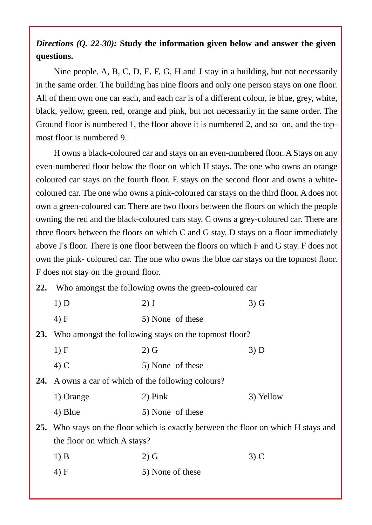## *Directions (Q. 22-30):* **Study the information given below and answer the given questions.**

Nine people, A, B, C, D, E, F, G, H and J stay in a building, but not necessarily in the same order. The building has nine floors and only one person stays on one floor. All of them own one car each, and each car is of a different colour, ie blue, grey, white, black, yellow, green, red, orange and pink, but not necessarily in the same order. The Ground floor is numbered 1, the floor above it is numbered 2, and so on, and the top most floor is numbered 9.

H owns a black-coloured car and stays on an even-numbered floor. A Stays on any even-numbered floor below the floor on which H stays. The one who owns an orange coloured car stays on the fourth floor. E stays on the second floor and owns a white coloured car. The one who owns a pink-coloured car stays on the third floor. A does not own a green-coloured car. There are two floors between the floors on which the people owning the red and the black-coloured cars stay. C owns a grey-coloured car. There are three floors between the floors on which C and G stay. D stays on a floor immediately above J's floor. There is one floor between the floors on which F and G stay. F does not own the pink- coloured car. The one who owns the blue car stays on the topmost floor. F does not stay on the ground floor.

**22.** Who amongst the following owns the green-coloured car

| 1) D                                                       | $2)$ J                                                                             | $3)$ G    |
|------------------------------------------------------------|------------------------------------------------------------------------------------|-----------|
| 4) F                                                       | 5) None of these                                                                   |           |
|                                                            | 23. Who amongst the following stays on the topmost floor?                          |           |
| 1) F                                                       | $2)$ G                                                                             | 3) D      |
| $(4)$ C                                                    | 5) None of these                                                                   |           |
| <b>24.</b> A owns a car of which of the following colours? |                                                                                    |           |
| 1) Orange                                                  | $2)$ Pink                                                                          | 3) Yellow |
| 4) Blue                                                    | 5) None of these                                                                   |           |
|                                                            | 25. Who stays on the floor which is exactly between the floor on which H stays and |           |
| the floor on which A stays?                                |                                                                                    |           |
| $1)$ B                                                     | $2)$ G                                                                             | $3)$ C    |
| 4) F                                                       | 5) None of these                                                                   |           |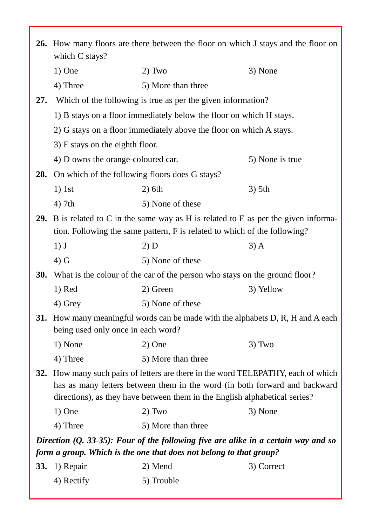|            | <b>26.</b> How many floors are there between the floor on which J stays and the floor on<br>which C stays?                                                                                                                                |                                                                                                                                                                          |                 |
|------------|-------------------------------------------------------------------------------------------------------------------------------------------------------------------------------------------------------------------------------------------|--------------------------------------------------------------------------------------------------------------------------------------------------------------------------|-----------------|
|            | $1)$ One                                                                                                                                                                                                                                  | $2)$ Two                                                                                                                                                                 | 3) None         |
|            | 4) Three                                                                                                                                                                                                                                  | 5) More than three                                                                                                                                                       |                 |
| 27.        |                                                                                                                                                                                                                                           | Which of the following is true as per the given information?                                                                                                             |                 |
|            |                                                                                                                                                                                                                                           | 1) B stays on a floor immediately below the floor on which H stays.                                                                                                      |                 |
|            |                                                                                                                                                                                                                                           | 2) G stays on a floor immediately above the floor on which A stays.                                                                                                      |                 |
|            | 3) F stays on the eighth floor.                                                                                                                                                                                                           |                                                                                                                                                                          |                 |
|            | 4) D owns the orange-coloured car.                                                                                                                                                                                                        |                                                                                                                                                                          | 5) None is true |
| 28.        | On which of the following floors does G stays?                                                                                                                                                                                            |                                                                                                                                                                          |                 |
|            | $1)$ 1st                                                                                                                                                                                                                                  | $2)$ 6th                                                                                                                                                                 | $3)$ 5th        |
|            | $4)$ 7th                                                                                                                                                                                                                                  | 5) None of these                                                                                                                                                         |                 |
|            |                                                                                                                                                                                                                                           | <b>29.</b> B is related to C in the same way as H is related to E as per the given informa-<br>tion. Following the same pattern, F is related to which of the following? |                 |
|            | $1)$ J                                                                                                                                                                                                                                    | 2) D                                                                                                                                                                     | $3)$ A          |
|            | $4)$ G                                                                                                                                                                                                                                    | 5) None of these                                                                                                                                                         |                 |
| 30.        |                                                                                                                                                                                                                                           | What is the colour of the car of the person who stays on the ground floor?                                                                                               |                 |
|            | $1)$ Red                                                                                                                                                                                                                                  | 2) Green                                                                                                                                                                 | 3) Yellow       |
|            | 4) Grey                                                                                                                                                                                                                                   | 5) None of these                                                                                                                                                         |                 |
|            | being used only once in each word?                                                                                                                                                                                                        | <b>31.</b> How many meaningful words can be made with the alphabets D, R, H and A each                                                                                   |                 |
|            | 1) None                                                                                                                                                                                                                                   | $2)$ One                                                                                                                                                                 | $3)$ Two        |
|            | 4) Three                                                                                                                                                                                                                                  | 5) More than three                                                                                                                                                       |                 |
| 32.        | How many such pairs of letters are there in the word TELEPATHY, each of which<br>has as many letters between them in the word (in both forward and backward<br>directions), as they have between them in the English alphabetical series? |                                                                                                                                                                          |                 |
|            | $1)$ One                                                                                                                                                                                                                                  | $2)$ Two                                                                                                                                                                 | 3) None         |
|            | 4) Three                                                                                                                                                                                                                                  | 5) More than three                                                                                                                                                       |                 |
|            |                                                                                                                                                                                                                                           | Direction $(Q. 33-35)$ : Four of the following five are alike in a certain way and so<br>form a group. Which is the one that does not belong to that group?              |                 |
| <b>33.</b> | 1) Repair                                                                                                                                                                                                                                 | 2) Mend                                                                                                                                                                  | 3) Correct      |
|            | 4) Rectify                                                                                                                                                                                                                                | 5) Trouble                                                                                                                                                               |                 |
|            |                                                                                                                                                                                                                                           |                                                                                                                                                                          |                 |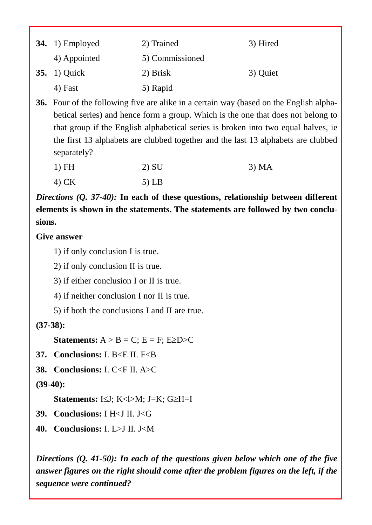| 34. $1)$ Employed   | 2) Trained      | 3) Hired |
|---------------------|-----------------|----------|
| 4) Appointed        | 5) Commissioned |          |
| <b>35.</b> 1) Quick | 2) Brisk        | 3) Quiet |
| 4) Fast             | 5) Rapid        |          |

**36.** Four of the following five are alike in a certain way (based on the English alpha betical series) and hence form a group. Which is the one that does not belong to that group if the English alphabetical series is broken into two equal halves, ie the first 13 alphabets are clubbed together and the last 13 alphabets are clubbed separately?

| $1)$ FH | 2) SU   | 3) MA |
|---------|---------|-------|
| $4)$ CK | $5)$ LB |       |

*Directions (Q. 37-40):* **In each of these questions, relationship between different elements is shown in the statements. The statements are followed by two conclu sions.**

#### **Give answer**

1) if only conclusion I is true.

2) if only conclusion II is true.

3) if either conclusion I or II is true.

4) if neither conclusion I nor II is true.

5) if both the conclusions I and II are true.

## **(37-38):**

**Statements:**  $A > B = C$ ;  $E = F$ ;  $E \ge D > C$ 

- **37. Conclusions:** I. B<E II. F<B
- **38. Conclusions:** I. C<F II. A>C

## **(39-40):**

**Statements:**  $I \leq J$ ;  $K < I > M$ ;  $J = K$ ;  $G \geq H = I$ 

- **39. Conclusions:** I H<J II. J<G
- **40. Conclusions:** I. L>J II. J<M

*Directions (Q. 41-50): In each of the questions given below which one of the five answer figures on the right should come after the problem figures on the left, if the sequence were continued?*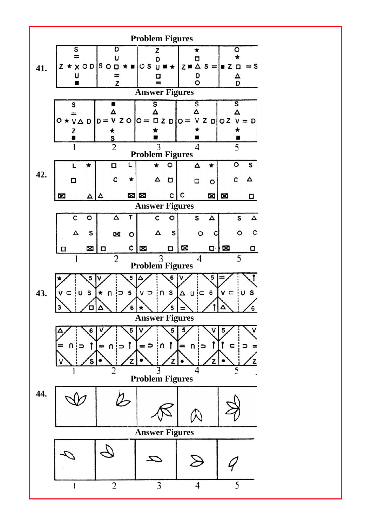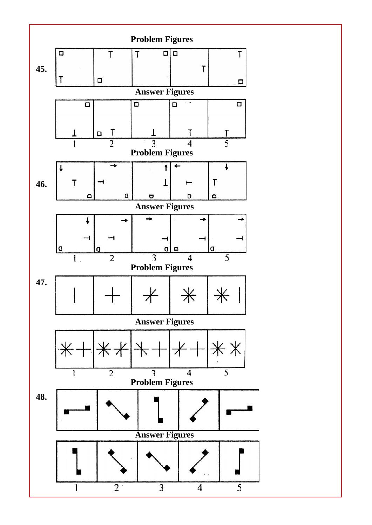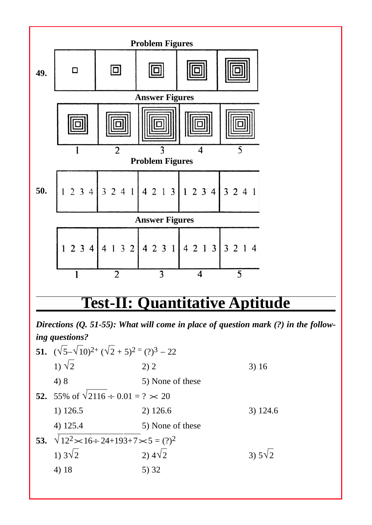

*Directions (Q. 51-55): What will come in place of question mark (?) in the following questions?*

| 51. $(\sqrt{5}-\sqrt{10})^{2+}(\sqrt{2}+5)^{2}=(?)^{3}-22$     |                  |                   |
|----------------------------------------------------------------|------------------|-------------------|
| 1) $\sqrt{2}$                                                  | 2) 2             | 3)16              |
| 4)8                                                            | 5) None of these |                   |
| 52. 55% of $\sqrt{2116 \div 0.01} = ? \times 20$               |                  |                   |
| 1) 126.5                                                       | 2) 126.6         | 3) 124.6          |
| 4) 125.4                                                       | 5) None of these |                   |
| 53. $\sqrt{12^2} \times 16 \div 24 + 193 + 7 \times 5 = (?)^2$ |                  |                   |
| 1) $3\sqrt{2}$                                                 | $2)4\sqrt{2}$    | $3)$ 5 $\sqrt{2}$ |
| 4) 18                                                          | 5)32             |                   |
|                                                                |                  |                   |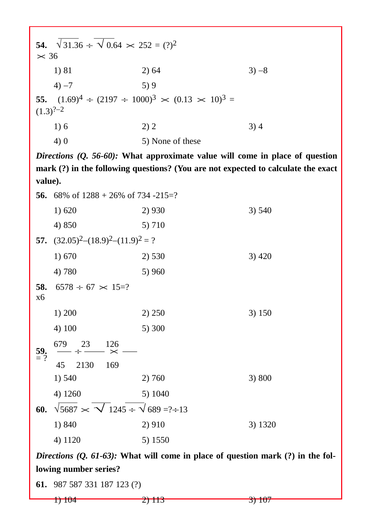| $\times$ 36   | 54. $\sqrt{31.36} \div \sqrt{0.64} \times 252 = (?)^2$             |          |
|---------------|--------------------------------------------------------------------|----------|
| 1) 81         | 2) 64                                                              | $3) - 8$ |
| $4) -7$       | 5)9                                                                |          |
| $(1.3)^{?-2}$ | 55. $(1.69)^4 \div (2197 \div 1000)^3 \times (0.13 \times 10)^3 =$ |          |
| 1)6           | 2) 2                                                               | 3)4      |
| 4) 0          | 5) None of these                                                   |          |

*Directions (Q. 56-60):* **What approximate value will come in place of question mark (?) in the following questions? (You are not expected to calculate the exact value).**

|                  | 56. 68% of $1288 + 26\%$ of 734 -215=?                       |         |          |
|------------------|--------------------------------------------------------------|---------|----------|
|                  | 1) 620                                                       | 2) 930  | 3) 540   |
|                  | 4) 850                                                       | 5) 710  |          |
|                  | 57. $(32.05)^2$ - $(18.9)^2$ - $(11.9)^2$ = ?                |         |          |
|                  | 1) 670                                                       | 2) 530  | $3)$ 420 |
|                  | 4) 780                                                       | 5) 960  |          |
| 58.<br>x6        | $6578 \div 67 \times 15$ =?                                  |         |          |
|                  | 1) 200                                                       | 2) 250  | 3) 150   |
|                  | 4) 100                                                       | 5) 300  |          |
| $\frac{59}{2}$ ? | $- \div \frac{23}{\times}$ 126<br>679                        |         |          |
|                  | 45<br>2130<br>169                                            |         |          |
|                  | 1) 540                                                       | 2) 760  | 3) 800   |
|                  | 4) 1260                                                      | 5) 1040 |          |
| 60.              | $\sqrt{5687} \times \sqrt{1245 \div \sqrt{689}} = ? \div 13$ |         |          |
|                  | 1) 840                                                       | 2) 910  | 3) 1320  |
|                  | 4) 1120                                                      | 5) 1550 |          |

*Directions (Q. 61-63):* **What will come in place of question mark (?) in the following number series?**

**61.** 987 587 331 187 123 (?)

1)  $104$  3)  $107$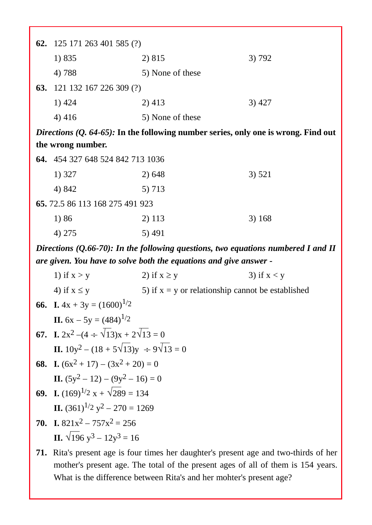|                                                                                                        | 62. $125 171 263 401 585$ (?) |          |       |  |
|--------------------------------------------------------------------------------------------------------|-------------------------------|----------|-------|--|
|                                                                                                        | 1) 835                        | 2) 815   | 3)792 |  |
|                                                                                                        | 4) 788<br>5) None of these    |          |       |  |
| <b>63.</b>                                                                                             | 121 132 167 226 309 (?)       |          |       |  |
|                                                                                                        | 1) 424                        | $2)$ 413 | 3)427 |  |
|                                                                                                        | 4)416<br>5) None of these     |          |       |  |
| <i>Directions <math>(Q, 64-65)</math>:</i> In the following number series, only one is wrong. Find out |                               |          |       |  |

|  |  | the wrong number. |
|--|--|-------------------|
|--|--|-------------------|

| 64. 454 327 648 524 842 713 1036 |        |        |
|----------------------------------|--------|--------|
| 1) 327                           | 2) 648 | 3) 521 |
| 4) 842                           | 5) 713 |        |
| 65.72.5 86 113 168 275 491 923   |        |        |
| 1) 86                            | 2) 113 | 3) 168 |
| 4) 275                           | 5) 491 |        |

*Directions (Q.66-70): In the following questions, two equations numbered I and II are given. You have to solve both the equations and give answer -*

| 1) if $x > y$                                               | 2) if $x \ge y$                                     | 3) if $x < y$                                                                                |
|-------------------------------------------------------------|-----------------------------------------------------|----------------------------------------------------------------------------------------------|
| 4) if $x \le y$                                             | 5) if $x = y$ or relationship cannot be established |                                                                                              |
| <b>66.</b> I. $4x + 3y = (1600)^{1/2}$                      |                                                     |                                                                                              |
| <b>II.</b> $6x - 5y = (484)^{1/2}$                          |                                                     |                                                                                              |
| <b>67.</b> I. $2x^2 - (4 \div \sqrt{13})x + 2\sqrt{13} = 0$ |                                                     |                                                                                              |
| <b>II.</b> $10y^2 - (18 + 5\sqrt{13})y \div 9\sqrt{13} = 0$ |                                                     |                                                                                              |
| 68. I. $(6x^2 + 17) - (3x^2 + 20) = 0$                      |                                                     |                                                                                              |
| II. $(5y^2 - 12) - (9y^2 - 16) = 0$                         |                                                     |                                                                                              |
| <b>69.</b> I. $(169)^{1/2}x + \sqrt{289} = 134$             |                                                     |                                                                                              |
| <b>II.</b> $(361)^{1/2}$ $y^2 - 270 = 1269$                 |                                                     |                                                                                              |
| <b>70.</b> I. $821x^2 - 757x^2 = 256$                       |                                                     |                                                                                              |
| II. $\sqrt{196}$ y <sup>3</sup> – $12y^3$ = 16              |                                                     |                                                                                              |
|                                                             |                                                     | <b>71.</b> Rita's present age is four times her daughter's present age and two-thirds of her |
|                                                             |                                                     |                                                                                              |

mother's present age. The total of the present ages of all of them is 154 years. What is the difference between Rita's and her mohter's present age?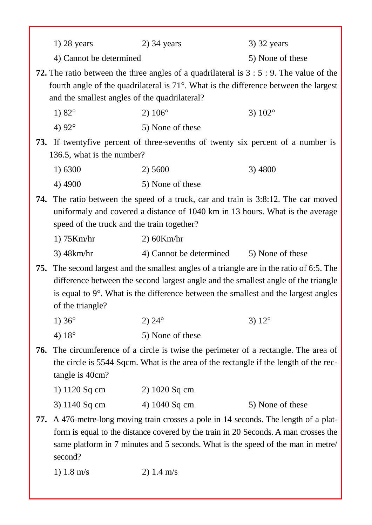| $1)$ 28 years           | $2)$ 34 years | 3) 32 years      |
|-------------------------|---------------|------------------|
| 4) Cannot be determined |               | 5) None of these |

**72.** The ratio between the three angles of a quadrilateral is 3 : 5 : 9. The value of the fourth angle of the quadrilateral is  $71^\circ$ . What is the difference between the largest and the smallest angles of the quadrilateral?

| 1) $82^{\circ}$          | 2) $106^{\circ}$            | 3) $102^{\circ}$ |
|--------------------------|-----------------------------|------------------|
| $\lambda$ $\lambda$ 0.20 | $\mathcal{L}$ None of those |                  |

4)  $92^{\circ}$  5) None of these

**73.** If twentyfive percent of three-sevenths of twenty six percent of a number is 136.5, what is the number?

| 1) 6300 | 2) 5600          | 3) 4800 |
|---------|------------------|---------|
| 4) 4900 | 5) None of these |         |

**74.** The ratio between the speed of a truck, car and train is 3:8:12. The car moved uniformaly and covered a distance of 1040 km in 13 hours. What is the average speed of the truck and the train together?

| $1)$ 75Km/hr | $2)$ 60Km/hr            |                  |
|--------------|-------------------------|------------------|
| 3) 48km/hr   | 4) Cannot be determined | 5) None of these |

**75.** The second largest and the smallest angles of a triangle are in the ratio of 6:5. The difference between the second largest angle and the smallest angle of the triangle is equal to  $9^\circ$ . What is the difference between the smallest and the largest angles of the triangle?

- 1)  $36^{\circ}$  2)  $24^{\circ}$  3)  $12^{\circ}$
- 4)  $18^\circ$  5) None of these
- **76.** The circumference of a circle is twise the perimeter of a rectangle. The area of the circle is 5544 Sqcm. What is the area of the rectangle if the length of the rectangle is 40cm?

| 1) 1120 Sq cm | $2)$ 1020 Sq cm |                  |
|---------------|-----------------|------------------|
| 3) 1140 Sq cm | 4) 1040 Sq cm   | 5) None of these |

**77.** A 476-metre-long moving train crosses a pole in 14 seconds. The length of a platform is equal to the distance covered by the train in 20 Seconds. A man crosses the same platform in 7 minutes and 5 seconds. What is the speed of the man in metre/ second?

1)  $1.8 \text{ m/s}$  2)  $1.4 \text{ m/s}$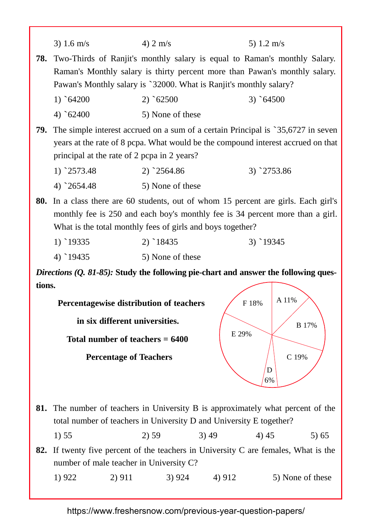|        | 3) 1.6 $m/s$                                               | 4) $2 \text{ m/s}$ | 5) 1.2 m/s                                                                                                                                                           |  |
|--------|------------------------------------------------------------|--------------------|----------------------------------------------------------------------------------------------------------------------------------------------------------------------|--|
| 78.    |                                                            |                    | Two-Thirds of Ranjit's monthly salary is equal to Raman's monthly Salary.<br>Raman's Monthly salary is thirty percent more than Pawan's monthly salary.              |  |
|        |                                                            |                    | Pawan's Monthly salary is `32000. What is Ranjit's monthly salary?                                                                                                   |  |
|        | $1)$ 64200                                                 | $2)$ 62500         | $3)$ 64500                                                                                                                                                           |  |
|        | $4)$ 62400                                                 | 5) None of these   |                                                                                                                                                                      |  |
| 79.    | principal at the rate of 2 pcpa in 2 years?                |                    | The simple interest accrued on a sum of a certain Principal is `35,6727 in seven<br>years at the rate of 8 pcpa. What would be the compound interest accrued on that |  |
|        | $1)$ 2573.48                                               | $2)$ 2564.86       | $3)$ 2753.86                                                                                                                                                         |  |
|        | $4)$ 2654.48                                               | 5) None of these   |                                                                                                                                                                      |  |
| 80.    | What is the total monthly fees of girls and boys together? |                    | In a class there are 60 students, out of whom 15 percent are girls. Each girl's<br>monthly fee is 250 and each boy's monthly fee is 34 percent more than a girl.     |  |
|        | $1)$ 19335                                                 | $2)$ 18435         | $3)$ 19345                                                                                                                                                           |  |
|        | $4)$ 19435                                                 | 5) None of these   |                                                                                                                                                                      |  |
|        |                                                            |                    | <i>Directions (Q. 81-85):</i> Study the following pie-chart and answer the following ques-                                                                           |  |
| tions. |                                                            |                    |                                                                                                                                                                      |  |
|        | Percentagewise distribution of teachers                    |                    | A 11%<br>F 18%                                                                                                                                                       |  |
|        | in six different universities.                             |                    |                                                                                                                                                                      |  |
|        | Total number of teachers $= 6400$                          |                    | <b>B</b> 17%<br>E 29%                                                                                                                                                |  |
|        | <b>Percentage of Teachers</b>                              |                    | C 19%<br>D<br>6%                                                                                                                                                     |  |
| 81.    |                                                            |                    | The number of teachers in University B is approximately what percent of the<br>total number of teachers in University D and University E together?                   |  |
|        | 1) 55                                                      | 2) 59              | 3)49<br>4) 45<br>5)65                                                                                                                                                |  |

**82.** If twenty five percent of the teachers in University C are females, What is the number of male teacher in University C?

| 1) 922 | 2) 911 | 3) 924 | 4) 912 | 5) None of these |  |
|--------|--------|--------|--------|------------------|--|
|--------|--------|--------|--------|------------------|--|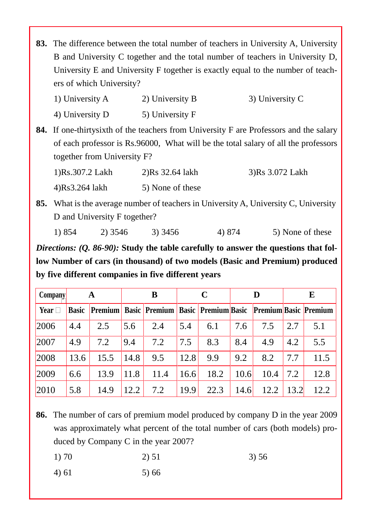**83.** The difference between the total number of teachers in University A, University B and University C together and the total number of teachers in University D, University E and University F together is exactly equal to the number of teach ers of which University?

| 1) University A | 2) University B | 3) University C |  |
|-----------------|-----------------|-----------------|--|
| 4) University D | 5) University F |                 |  |

**84.** If one-thirtysixth of the teachers from University F are Professors and the salary of each professor is Rs.96000, What will be the total salary of all the professors together from University F?

| 1)Rs.307.2 Lakh | $2)$ Rs 32.64 lakh | 3)Rs 3.072 Lakh |
|-----------------|--------------------|-----------------|
| 4)Rs3.264 lakh  | 5) None of these   |                 |

**85.** What is the average number of teachers in University A, University C, University D and University F together?

1) 854 2) 3546 3) 3456 4) 874 5) None of these

*Directions: (Q. 86-90):* **Study the table carefully to answer the questions that follow Number of cars (in thousand) of two models (Basic and Premium) produced by five different companies in five different years**

| <b>Company</b> |      | A    |      | B                                                                     |      | $\mathbf C$ |      |      |      | E    |
|----------------|------|------|------|-----------------------------------------------------------------------|------|-------------|------|------|------|------|
| Year $\Box$    |      |      |      | Basic Premium Basic Premium Basic Premium Basic Premium Basic Premium |      |             |      |      |      |      |
| 2006           | 4.4  | 2.5  | 5.6  | 2.4                                                                   | 5.4  | 6.1         | 7.6  | 7.5  | 2.7  | 5.1  |
| 2007           | 4.9  | 7.2  | 9.4  | 7.2                                                                   | 7.5  | 8.3         | 8.4  | 4.9  | 4.2  | 5.5  |
| 2008           | 13.6 | 15.5 | 14.8 | 9.5                                                                   | 12.8 | 9.9         | 9.2  | 8.2  | 7.7  | 11.5 |
| 2009           | 6.6  | 13.9 | 11.8 | 11.4                                                                  | 16.6 | 18.2        | 10.6 | 10.4 | 7.2  | 12.8 |
| 2010           | 5.8  | 14.9 | 12.2 | 7.2                                                                   | 19.9 | 22.3        | 14.6 | 12.2 | 13.2 | 12.2 |

**86.** The number of cars of premium model produced by company D in the year 2009 was approximately what percent of the total number of cars (both models) pro duced by Company C in the year 2007?

- 1) 70 2) 51 3) 56
- 4)  $61$  5)  $66$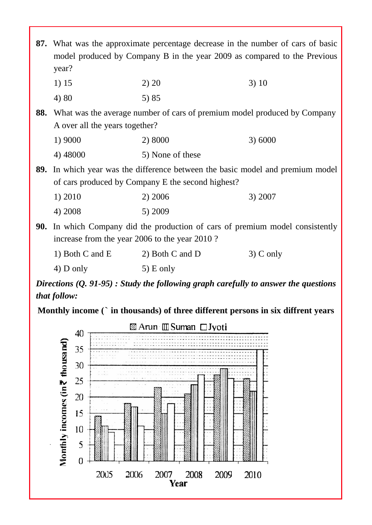| 87. What was the approximate percentage decrease in the number of cars of basic<br>model produced by Company B in the year 2009 as compared to the Previous<br>year? |                                                                                                                                            |             |  |  |  |
|----------------------------------------------------------------------------------------------------------------------------------------------------------------------|--------------------------------------------------------------------------------------------------------------------------------------------|-------------|--|--|--|
| 1) 15                                                                                                                                                                | 2) 20                                                                                                                                      | 3)10        |  |  |  |
| 4) 80                                                                                                                                                                | 5) 85                                                                                                                                      |             |  |  |  |
| A over all the years together?                                                                                                                                       | 88. What was the average number of cars of premium model produced by Company                                                               |             |  |  |  |
| 1) 9000                                                                                                                                                              | 2) 8000                                                                                                                                    | 3) 6000     |  |  |  |
| 4) 48000                                                                                                                                                             | 5) None of these                                                                                                                           |             |  |  |  |
|                                                                                                                                                                      | <b>89.</b> In which year was the difference between the basic model and premium model<br>of cars produced by Company E the second highest? |             |  |  |  |
| 1) 2010                                                                                                                                                              | 2) 2006                                                                                                                                    | 3) 2007     |  |  |  |
| 4) 2008                                                                                                                                                              | 5) 2009                                                                                                                                    |             |  |  |  |
| <b>90.</b> In which Company did the production of cars of premium model consistently<br>increase from the year 2006 to the year 2010?                                |                                                                                                                                            |             |  |  |  |
| 1) Both C and E                                                                                                                                                      | 2) Both C and D                                                                                                                            | $3)$ C only |  |  |  |
| $4)$ D only                                                                                                                                                          | $5)$ E only                                                                                                                                |             |  |  |  |
|                                                                                                                                                                      |                                                                                                                                            |             |  |  |  |

*Directions (Q. 91-95) : Study the following graph carefully to answer the questions that follow:*

**Monthly income (**` **in thousands) of three different persons in six diffrent years**

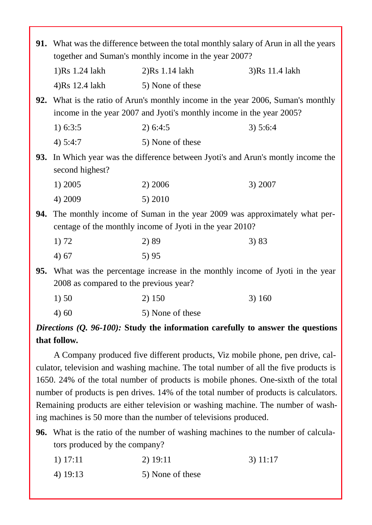|     | 91. What was the difference between the total monthly salary of Arun in all the years<br>together and Suman's monthly income in the year 2007? |                                                                                                                                                          |                |  |  |  |
|-----|------------------------------------------------------------------------------------------------------------------------------------------------|----------------------------------------------------------------------------------------------------------------------------------------------------------|----------------|--|--|--|
|     | 1)Rs 1.24 lakh                                                                                                                                 | $2)Rs$ 1.14 lakh                                                                                                                                         | 3)Rs 11.4 lakh |  |  |  |
|     | 4)Rs 12.4 lakh                                                                                                                                 | 5) None of these                                                                                                                                         |                |  |  |  |
|     |                                                                                                                                                | 92. What is the ratio of Arun's monthly income in the year 2006, Suman's monthly<br>income in the year 2007 and Jyoti's monthly income in the year 2005? |                |  |  |  |
|     | 1) $6:3:5$                                                                                                                                     | 2) 6:4:5                                                                                                                                                 | 3) 5:6:4       |  |  |  |
|     | 4) $5:4:7$                                                                                                                                     | 5) None of these                                                                                                                                         |                |  |  |  |
|     | second highest?                                                                                                                                | 93. In Which year was the difference between Jyoti's and Arun's montly income the                                                                        |                |  |  |  |
|     | 1) 2005                                                                                                                                        | 2) 2006                                                                                                                                                  | 3) 2007        |  |  |  |
|     | 4) 2009                                                                                                                                        | 5) 2010                                                                                                                                                  |                |  |  |  |
| 94. |                                                                                                                                                | The monthly income of Suman in the year 2009 was approximately what per-<br>centage of the monthly income of Jyoti in the year 2010?                     |                |  |  |  |
|     | 1) 72                                                                                                                                          | 2) 89                                                                                                                                                    | 3) 83          |  |  |  |
|     | 4)67                                                                                                                                           | 5)95                                                                                                                                                     |                |  |  |  |
| 95. | 2008 as compared to the previous year?                                                                                                         | What was the percentage increase in the monthly income of Jyoti in the year                                                                              |                |  |  |  |
|     | 1)50                                                                                                                                           | 2) 150                                                                                                                                                   | 3)160          |  |  |  |
|     | 4)60                                                                                                                                           | 5) None of these                                                                                                                                         |                |  |  |  |

## *Directions (Q. 96-100):* **Study the information carefully to answer the questions that follow.**

A Company produced five different products, Viz mobile phone, pen drive, cal culator, television and washing machine. The total number of all the five products is 1650. 24% of the total number of products is mobile phones. One-sixth of the total number of products is pen drives. 14% of the total number of products is calculators. Remaining products are either television or washing machine. The number of washing machines is 50 more than the number of televisions produced.

**96.** What is the ratio of the number of washing machines to the number of calculators produced by the company?

- 1) 17:11 2) 19:11 3) 11:17
- 4) 19:13 5) None of these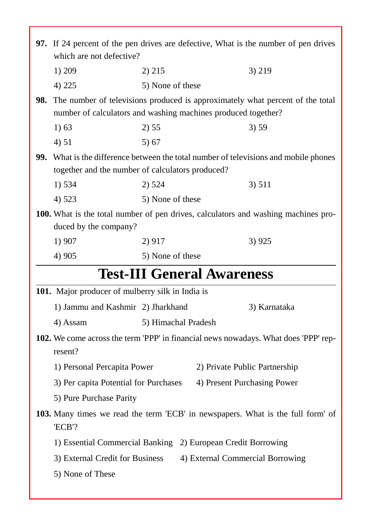|                                                                                                                                             | 97. If 24 percent of the pen drives are defective, What is the number of pen drives                                                                       |                                  |  |
|---------------------------------------------------------------------------------------------------------------------------------------------|-----------------------------------------------------------------------------------------------------------------------------------------------------------|----------------------------------|--|
| which are not defective?                                                                                                                    |                                                                                                                                                           |                                  |  |
| 1) 209                                                                                                                                      | 2) 215                                                                                                                                                    | 3) 219                           |  |
| 4) 225                                                                                                                                      | 5) None of these                                                                                                                                          |                                  |  |
|                                                                                                                                             | <b>98.</b> The number of televisions produced is approximately what percent of the total<br>number of calculators and washing machines produced together? |                                  |  |
| 1) 63                                                                                                                                       | 2) 55                                                                                                                                                     | 3) 59                            |  |
| 4) 51                                                                                                                                       | 5)67                                                                                                                                                      |                                  |  |
| What is the difference between the total number of televisions and mobile phones<br>99.<br>together and the number of calculators produced? |                                                                                                                                                           |                                  |  |
| 1) 534                                                                                                                                      | 2) 524                                                                                                                                                    | 3) 511                           |  |
| 4) 523                                                                                                                                      | 5) None of these                                                                                                                                          |                                  |  |
| duced by the company?                                                                                                                       | <b>100.</b> What is the total number of pen drives, calculators and washing machines pro-                                                                 |                                  |  |
| 1) 907                                                                                                                                      | 2) 917                                                                                                                                                    | 3)925                            |  |
| 4) 905                                                                                                                                      | 5) None of these                                                                                                                                          |                                  |  |
|                                                                                                                                             | <b>Test-III General Awareness</b>                                                                                                                         |                                  |  |
| 101. Major producer of mulberry silk in India is                                                                                            |                                                                                                                                                           |                                  |  |
| 1) Jammu and Kashmir 2) Jharkhand                                                                                                           |                                                                                                                                                           | 3) Karnataka                     |  |
| 4) Assam                                                                                                                                    | 5) Himachal Pradesh                                                                                                                                       |                                  |  |
| 102. We come across the term 'PPP' in financial news nowadays. What does 'PPP' rep-                                                         |                                                                                                                                                           |                                  |  |
| resent?                                                                                                                                     |                                                                                                                                                           |                                  |  |
| 1) Personal Percapita Power                                                                                                                 |                                                                                                                                                           | 2) Private Public Partnership    |  |
| 3) Per capita Potential for Purchases                                                                                                       |                                                                                                                                                           | 4) Present Purchasing Power      |  |
| 5) Pure Purchase Parity                                                                                                                     |                                                                                                                                                           |                                  |  |
| 'ECB'?                                                                                                                                      | <b>103.</b> Many times we read the term 'ECB' in newspapers. What is the full form' of                                                                    |                                  |  |
|                                                                                                                                             | 1) Essential Commercial Banking 2) European Credit Borrowing                                                                                              |                                  |  |
| 3) External Credit for Business                                                                                                             |                                                                                                                                                           | 4) External Commercial Borrowing |  |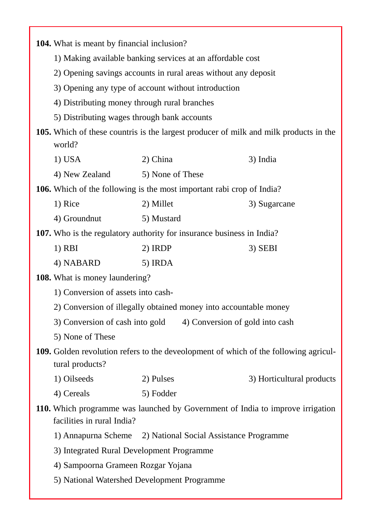| <b>104.</b> What is meant by financial inclusion?                                                       |                                                                                                              |                           |  |  |
|---------------------------------------------------------------------------------------------------------|--------------------------------------------------------------------------------------------------------------|---------------------------|--|--|
|                                                                                                         | 1) Making available banking services at an affordable cost                                                   |                           |  |  |
|                                                                                                         | 2) Opening savings accounts in rural areas without any deposit                                               |                           |  |  |
|                                                                                                         | 3) Opening any type of account without introduction                                                          |                           |  |  |
| 4) Distributing money through rural branches                                                            |                                                                                                              |                           |  |  |
| 5) Distributing wages through bank accounts                                                             |                                                                                                              |                           |  |  |
| world?                                                                                                  | 105. Which of these countris is the largest producer of milk and milk products in the                        |                           |  |  |
| $1)$ USA                                                                                                | 2) China                                                                                                     | 3) India                  |  |  |
| 4) New Zealand                                                                                          | 5) None of These                                                                                             |                           |  |  |
|                                                                                                         | <b>106.</b> Which of the following is the most important rabi crop of India?                                 |                           |  |  |
| 1) Rice                                                                                                 | 2) Millet                                                                                                    | 3) Sugarcane              |  |  |
| 4) Groundnut                                                                                            | 5) Mustard                                                                                                   |                           |  |  |
|                                                                                                         | 107. Who is the regulatory authority for insurance business in India?                                        |                           |  |  |
| $1)$ RBI                                                                                                | 2) IRDP                                                                                                      | $3)$ SEBI                 |  |  |
| 4) NABARD                                                                                               | 5) IRDA                                                                                                      |                           |  |  |
| <b>108.</b> What is money laundering?                                                                   |                                                                                                              |                           |  |  |
|                                                                                                         | 1) Conversion of assets into cash-                                                                           |                           |  |  |
|                                                                                                         | 2) Conversion of illegally obtained money into accountable money                                             |                           |  |  |
| 3) Conversion of cash into gold<br>4) Conversion of gold into cash                                      |                                                                                                              |                           |  |  |
| 5) None of These                                                                                        |                                                                                                              |                           |  |  |
| 109. Golden revolution refers to the deveolopment of which of the following agricul-<br>tural products? |                                                                                                              |                           |  |  |
| 1) Oilseeds                                                                                             | 2) Pulses                                                                                                    | 3) Horticultural products |  |  |
| 4) Cereals                                                                                              | 5) Fodder                                                                                                    |                           |  |  |
|                                                                                                         | 110. Which programme was launched by Government of India to improve irrigation<br>facilities in rural India? |                           |  |  |
| 1) Annapurna Scheme                                                                                     | 2) National Social Assistance Programme                                                                      |                           |  |  |
| 3) Integrated Rural Development Programme                                                               |                                                                                                              |                           |  |  |
| 4) Sampoorna Grameen Rozgar Yojana                                                                      |                                                                                                              |                           |  |  |
| 5) National Watershed Development Programme                                                             |                                                                                                              |                           |  |  |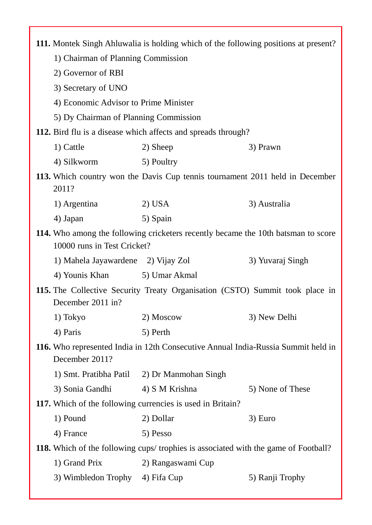| 111. Montek Singh Ahluwalia is holding which of the following positions at present?                              |                                                               |                                                                                     |  |  |  |
|------------------------------------------------------------------------------------------------------------------|---------------------------------------------------------------|-------------------------------------------------------------------------------------|--|--|--|
|                                                                                                                  | 1) Chairman of Planning Commission                            |                                                                                     |  |  |  |
| 2) Governor of RBI                                                                                               |                                                               |                                                                                     |  |  |  |
| 3) Secretary of UNO                                                                                              |                                                               |                                                                                     |  |  |  |
| 4) Economic Advisor to Prime Minister                                                                            |                                                               |                                                                                     |  |  |  |
|                                                                                                                  | 5) Dy Chairman of Planning Commission                         |                                                                                     |  |  |  |
|                                                                                                                  | 112. Bird flu is a disease which affects and spreads through? |                                                                                     |  |  |  |
| 1) Cattle                                                                                                        | 2) Sheep                                                      | 3) Prawn                                                                            |  |  |  |
| 4) Silkworm                                                                                                      | 5) Poultry                                                    |                                                                                     |  |  |  |
| 2011?                                                                                                            |                                                               | 113. Which country won the Davis Cup tennis tournament 2011 held in December        |  |  |  |
| 1) Argentina                                                                                                     | $2)$ USA                                                      | 3) Australia                                                                        |  |  |  |
| 4) Japan                                                                                                         | 5) Spain                                                      |                                                                                     |  |  |  |
| 114. Who among the following cricketers recently became the 10th batsman to score<br>10000 runs in Test Cricket? |                                                               |                                                                                     |  |  |  |
| 1) Mahela Jayawardene 2) Vijay Zol                                                                               |                                                               | 3) Yuvaraj Singh                                                                    |  |  |  |
| 4) Younis Khan                                                                                                   | 5) Umar Akmal                                                 |                                                                                     |  |  |  |
| December 2011 in?                                                                                                |                                                               | 115. The Collective Security Treaty Organisation (CSTO) Summit took place in        |  |  |  |
| 1) Tokyo                                                                                                         | 2) Moscow                                                     | 3) New Delhi                                                                        |  |  |  |
| 4) Paris                                                                                                         | 5) Perth                                                      |                                                                                     |  |  |  |
| December 2011?                                                                                                   |                                                               | 116. Who represented India in 12th Consecutive Annual India-Russia Summit held in   |  |  |  |
|                                                                                                                  | 1) Smt. Pratibha Patil 2) Dr Manmohan Singh                   |                                                                                     |  |  |  |
| 3) Sonia Gandhi                                                                                                  | 4) S M Krishna                                                | 5) None of These                                                                    |  |  |  |
| 117. Which of the following currencies is used in Britain?                                                       |                                                               |                                                                                     |  |  |  |
| 1) Pound                                                                                                         | 2) Dollar                                                     | 3) Euro                                                                             |  |  |  |
| 4) France                                                                                                        | 5) Pesso                                                      |                                                                                     |  |  |  |
|                                                                                                                  |                                                               | 118. Which of the following cups/ trophies is associated with the game of Football? |  |  |  |
| 1) Grand Prix                                                                                                    | 2) Rangaswami Cup                                             |                                                                                     |  |  |  |
| 3) Wimbledon Trophy                                                                                              | 4) Fifa Cup                                                   | 5) Ranji Trophy                                                                     |  |  |  |
|                                                                                                                  |                                                               |                                                                                     |  |  |  |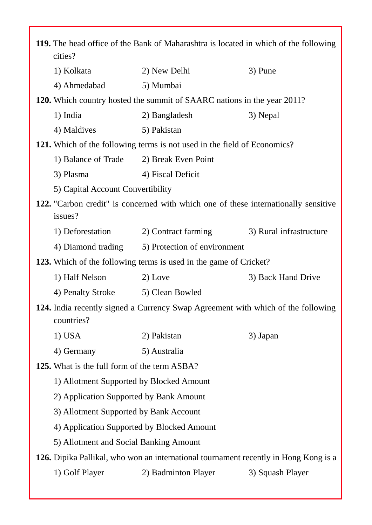| 119. The head office of the Bank of Maharashtra is located in which of the following<br>cities?<br>2) New Delhi<br>1) Kolkata<br>3) Pune |  |  |
|------------------------------------------------------------------------------------------------------------------------------------------|--|--|
|                                                                                                                                          |  |  |
|                                                                                                                                          |  |  |
| 4) Ahmedabad<br>5) Mumbai                                                                                                                |  |  |
| 120. Which country hosted the summit of SAARC nations in the year 2011?                                                                  |  |  |
| 1) India<br>2) Bangladesh<br>3) Nepal                                                                                                    |  |  |
| 4) Maldives<br>5) Pakistan                                                                                                               |  |  |
| 121. Which of the following terms is not used in the field of Economics?                                                                 |  |  |
| 1) Balance of Trade<br>2) Break Even Point                                                                                               |  |  |
| 4) Fiscal Deficit<br>3) Plasma                                                                                                           |  |  |
| 5) Capital Account Convertibility                                                                                                        |  |  |
| 122. "Carbon credit" is concerned with which one of these internationally sensitive                                                      |  |  |
| issues?                                                                                                                                  |  |  |
| 1) Deforestation<br>2) Contract farming<br>3) Rural infrastructure                                                                       |  |  |
| 5) Protection of environment<br>4) Diamond trading                                                                                       |  |  |
| <b>123.</b> Which of the following terms is used in the game of Cricket?                                                                 |  |  |
| 1) Half Nelson<br>2) Love<br>3) Back Hand Drive                                                                                          |  |  |
| 4) Penalty Stroke<br>5) Clean Bowled                                                                                                     |  |  |
| 124. India recently signed a Currency Swap Agreement with which of the following<br>countries?                                           |  |  |
| $1)$ USA<br>2) Pakistan<br>3) Japan                                                                                                      |  |  |
| 5) Australia<br>4) Germany                                                                                                               |  |  |
| <b>125.</b> What is the full form of the term ASBA?                                                                                      |  |  |
| 1) Allotment Supported by Blocked Amount                                                                                                 |  |  |
| 2) Application Supported by Bank Amount                                                                                                  |  |  |
| 3) Allotment Supported by Bank Account                                                                                                   |  |  |
|                                                                                                                                          |  |  |
| 4) Application Supported by Blocked Amount                                                                                               |  |  |
| 5) Allotment and Social Banking Amount                                                                                                   |  |  |
| 126. Dipika Pallikal, who won an international tournament recently in Hong Kong is a                                                     |  |  |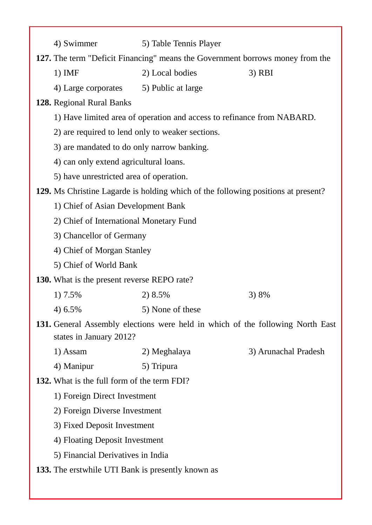| 4) Swimmer                                                                                                | 5) Table Tennis Player                                                 |                      |
|-----------------------------------------------------------------------------------------------------------|------------------------------------------------------------------------|----------------------|
| 127. The term "Deficit Financing" means the Government borrows money from the                             |                                                                        |                      |
| $1)$ IMF                                                                                                  | 2) Local bodies                                                        | $3)$ RBI             |
| 4) Large corporates 5) Public at large                                                                    |                                                                        |                      |
| 128. Regional Rural Banks                                                                                 |                                                                        |                      |
|                                                                                                           | 1) Have limited area of operation and access to refinance from NABARD. |                      |
| 2) are required to lend only to weaker sections.                                                          |                                                                        |                      |
| 3) are mandated to do only narrow banking.                                                                |                                                                        |                      |
| 4) can only extend agricultural loans.                                                                    |                                                                        |                      |
| 5) have unrestricted area of operation.                                                                   |                                                                        |                      |
| 129. Ms Christine Lagarde is holding which of the following positions at present?                         |                                                                        |                      |
| 1) Chief of Asian Development Bank                                                                        |                                                                        |                      |
| 2) Chief of International Monetary Fund                                                                   |                                                                        |                      |
| 3) Chancellor of Germany                                                                                  |                                                                        |                      |
| 4) Chief of Morgan Stanley                                                                                |                                                                        |                      |
| 5) Chief of World Bank                                                                                    |                                                                        |                      |
| <b>130.</b> What is the present reverse REPO rate?                                                        |                                                                        |                      |
| 1) 7.5%                                                                                                   | 2) 8.5%                                                                | 3) 8%                |
| 4) 6.5%                                                                                                   | 5) None of these                                                       |                      |
| 131. General Assembly elections were held in which of the following North East<br>states in January 2012? |                                                                        |                      |
| 1) Assam                                                                                                  | 2) Meghalaya                                                           | 3) Arunachal Pradesh |
| 4) Manipur                                                                                                | 5) Tripura                                                             |                      |
| <b>132.</b> What is the full form of the term FDI?                                                        |                                                                        |                      |
| 1) Foreign Direct Investment                                                                              |                                                                        |                      |
| 2) Foreign Diverse Investment                                                                             |                                                                        |                      |
| 3) Fixed Deposit Investment                                                                               |                                                                        |                      |
| 4) Floating Deposit Investment                                                                            |                                                                        |                      |
| 5) Financial Derivatives in India                                                                         |                                                                        |                      |
| <b>133.</b> The erstwhile UTI Bank is presently known as                                                  |                                                                        |                      |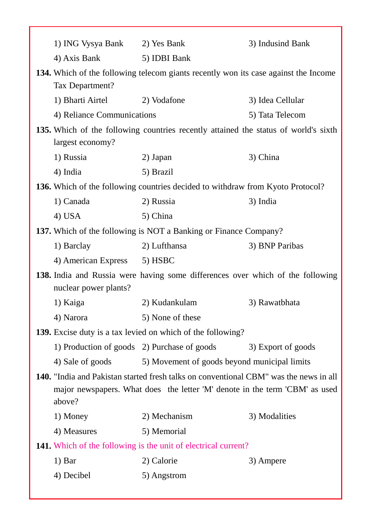| 1) ING Vysya Bank 2) Yes Bank |                                                                                                                                                                      | 3) Indusind Bank   |
|-------------------------------|----------------------------------------------------------------------------------------------------------------------------------------------------------------------|--------------------|
| 4) Axis Bank                  | 5) IDBI Bank                                                                                                                                                         |                    |
| Tax Department?               | 134. Which of the following telecom giants recently won its case against the Income                                                                                  |                    |
| 1) Bharti Airtel              | 2) Vodafone                                                                                                                                                          | 3) Idea Cellular   |
| 4) Reliance Communications    |                                                                                                                                                                      | 5) Tata Telecom    |
| largest economy?              | 135. Which of the following countries recently attained the status of world's sixth                                                                                  |                    |
| 1) Russia                     | 2) Japan                                                                                                                                                             | 3) China           |
| 4) India                      | 5) Brazil                                                                                                                                                            |                    |
|                               | <b>136.</b> Which of the following countries decided to withdraw from Kyoto Protocol?                                                                                |                    |
| 1) Canada                     | 2) Russia                                                                                                                                                            | 3) India           |
| $4)$ USA                      | 5) China                                                                                                                                                             |                    |
|                               | <b>137.</b> Which of the following is NOT a Banking or Finance Company?                                                                                              |                    |
| 1) Barclay                    | 2) Lufthansa                                                                                                                                                         | 3) BNP Paribas     |
| 4) American Express           | 5) HSBC                                                                                                                                                              |                    |
| nuclear power plants?         | <b>138.</b> India and Russia were having some differences over which of the following                                                                                |                    |
| 1) Kaiga                      | 2) Kudankulam                                                                                                                                                        | 3) Rawatbhata      |
| 4) Narora                     | 5) None of these                                                                                                                                                     |                    |
|                               | 139. Excise duty is a tax levied on which of the following?                                                                                                          |                    |
|                               | 1) Production of goods 2) Purchase of goods                                                                                                                          | 3) Export of goods |
| 4) Sale of goods              | 5) Movement of goods beyond municipal limits                                                                                                                         |                    |
| above?                        | 140. "India and Pakistan started fresh talks on conventional CBM" was the news in all<br>major newspapers. What does the letter 'M' denote in the term 'CBM' as used |                    |
| 1) Money                      | 2) Mechanism                                                                                                                                                         | 3) Modalities      |
| 4) Measures                   | 5) Memorial                                                                                                                                                          |                    |
|                               | <b>141.</b> Which of the following is the unit of electrical current?                                                                                                |                    |
| 1) Bar                        | 2) Calorie                                                                                                                                                           | 3) Ampere          |
| 4) Decibel                    | 5) Angstrom                                                                                                                                                          |                    |
|                               |                                                                                                                                                                      |                    |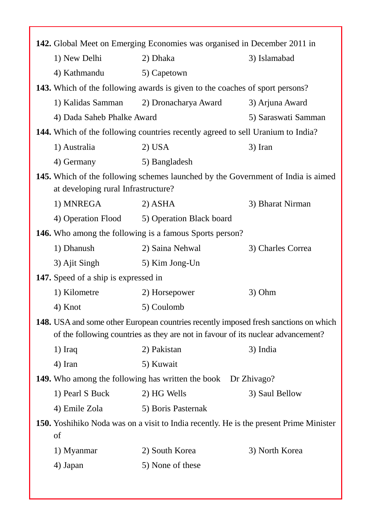| 142. Global Meet on Emerging Economies was organised in December 2011 in            |                                                                                                                                                                                 |                     |  |
|-------------------------------------------------------------------------------------|---------------------------------------------------------------------------------------------------------------------------------------------------------------------------------|---------------------|--|
| 1) New Delhi<br>2) Dhaka<br>3) Islamabad                                            |                                                                                                                                                                                 |                     |  |
| 4) Kathmandu                                                                        | 5) Capetown                                                                                                                                                                     |                     |  |
| <b>143.</b> Which of the following awards is given to the coaches of sport persons? |                                                                                                                                                                                 |                     |  |
| 1) Kalidas Samman                                                                   | 2) Dronacharya Award                                                                                                                                                            | 3) Arjuna Award     |  |
| 4) Dada Saheb Phalke Award                                                          |                                                                                                                                                                                 | 5) Saraswati Samman |  |
|                                                                                     | <b>144.</b> Which of the following countries recently agreed to sell Uranium to India?                                                                                          |                     |  |
| 1) Australia                                                                        | $2)$ USA                                                                                                                                                                        | 3) Iran             |  |
| 4) Germany                                                                          | 5) Bangladesh                                                                                                                                                                   |                     |  |
| at developing rural Infrastructure?                                                 | 145. Which of the following schemes launched by the Government of India is aimed                                                                                                |                     |  |
| 1) MNREGA                                                                           | $2)$ ASHA                                                                                                                                                                       | 3) Bharat Nirman    |  |
| 4) Operation Flood                                                                  | 5) Operation Black board                                                                                                                                                        |                     |  |
|                                                                                     | <b>146.</b> Who among the following is a famous Sports person?                                                                                                                  |                     |  |
| 1) Dhanush                                                                          | 2) Saina Nehwal                                                                                                                                                                 | 3) Charles Correa   |  |
| 3) Ajit Singh                                                                       | 5) Kim Jong-Un                                                                                                                                                                  |                     |  |
| <b>147.</b> Speed of a ship is expressed in                                         |                                                                                                                                                                                 |                     |  |
| 1) Kilometre                                                                        | 2) Horsepower                                                                                                                                                                   | 3) Ohm              |  |
| 4) Knot                                                                             | 5) Coulomb                                                                                                                                                                      |                     |  |
|                                                                                     | <b>148.</b> USA and some other European countries recently imposed fresh sanctions on which<br>of the following countries as they are not in favour of its nuclear advancement? |                     |  |
| $1)$ Iraq                                                                           | 2) Pakistan                                                                                                                                                                     | 3) India            |  |
| 4) Iran                                                                             | 5) Kuwait                                                                                                                                                                       |                     |  |
|                                                                                     | <b>149.</b> Who among the following has written the book Dr Zhivago?                                                                                                            |                     |  |
| 1) Pearl S Buck                                                                     | 2) HG Wells                                                                                                                                                                     | 3) Saul Bellow      |  |
| 4) Emile Zola                                                                       | 5) Boris Pasternak                                                                                                                                                              |                     |  |
| of                                                                                  | 150. Yoshihiko Noda was on a visit to India recently. He is the present Prime Minister                                                                                          |                     |  |
| 1) Myanmar                                                                          | 2) South Korea                                                                                                                                                                  | 3) North Korea      |  |
| 4) Japan                                                                            | 5) None of these                                                                                                                                                                |                     |  |
|                                                                                     |                                                                                                                                                                                 |                     |  |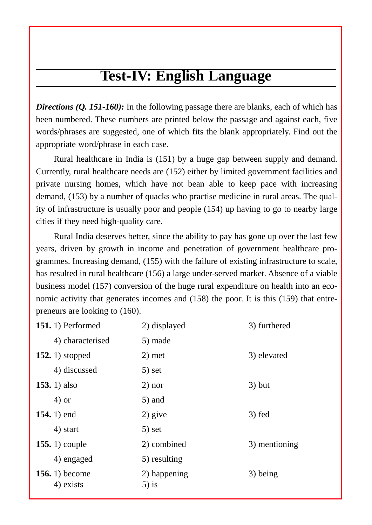# **Test-IV: English Language**

*Directions (Q. 151-160):* In the following passage there are blanks, each of which has been numbered. These numbers are printed below the passage and against each, five words/phrases are suggested, one of which fits the blank appropriately. Find out the appropriate word/phrase in each case.

Rural healthcare in India is (151) by a huge gap between supply and demand. Currently, rural healthcare needs are (152) either by limited government facilities and private nursing homes, which have not bean able to keep pace with increasing demand, (153) by a number of quacks who practise medicine in rural areas. The quality of infrastructure is usually poor and people (154) up having to go to nearby large cities if they need high-quality care.

Rural India deserves better, since the ability to pay has gone up over the last few years, driven by growth in income and penetration of government healthcare pro grammes. Increasing demand, (155) with the failure of existing infrastructure to scale, has resulted in rural healthcare (156) a large under-served market. Absence of a viable business model (157) conversion of the huge rural expenditure on health into an eco nomic activity that generates incomes and (158) the poor. It is this (159) that entre preneurs are looking to (160).

| 151. 1) Performed           | 2) displayed             | 3) furthered  |
|-----------------------------|--------------------------|---------------|
| 4) characterised            | 5) made                  |               |
| 152. 1) stopped             | $2)$ met                 | 3) elevated   |
| 4) discussed                | $5)$ set                 |               |
| 153. $1)$ also              | $2)$ nor                 | $3)$ but      |
| $4)$ or                     | $5)$ and                 |               |
| 154. 1) end                 | $2)$ give                | $3)$ fed      |
| 4) start                    | $5)$ set                 |               |
| 155. $1)$ couple            | 2) combined              | 3) mentioning |
| 4) engaged                  | 5) resulting             |               |
| 156. 1) become<br>4) exists | 2) happening<br>$5$ ) is | 3) being      |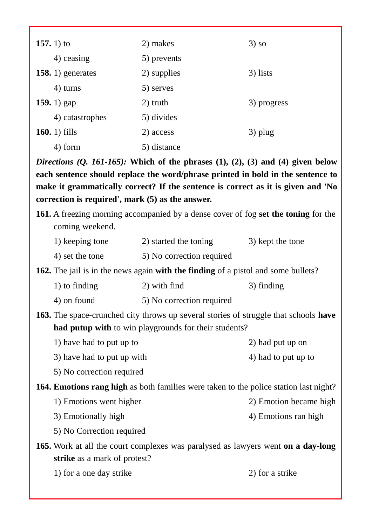| 157. 1) to         | 2) makes    | $3)$ so     |
|--------------------|-------------|-------------|
| 4) ceasing         | 5) prevents |             |
| 158. 1) generates  | 2) supplies | 3) lists    |
| 4) turns           | 5) serves   |             |
| <b>159.</b> 1) gap | 2) truth    | 3) progress |
| 4) catastrophes    | 5) divides  |             |
| 160. $1)$ fills    | 2) access   | 3) plug     |
| 4) form            | 5) distance |             |

*Directions (Q. 161-165):* **Which of the phrases (1), (2), (3) and (4) given below each sentence should replace the word/phrase printed in bold in the sentence to make it grammatically correct? If the sentence is correct as it is given and 'No correction is required', mark (5) as the answer.**

| <b>161.</b> A freezing morning accompanied by a dense cover of fog set the toning for the |  |
|-------------------------------------------------------------------------------------------|--|
| coming weekend.                                                                           |  |

- 1) keeping tone 2) started the toning 3) kept the tone
- 4) set the tone 5) No correction required

**162.** The jail is in the news again **with the finding** of a pistol and some bullets?

| 1) to finding | 2) with find              | 3) finding |
|---------------|---------------------------|------------|
| 4) on found   | 5) No correction required |            |

**163.** The space-crunched city throws up several stories of struggle that schools **have had putup with** to win playgrounds for their students?

| 1) have had to put up to | 2) had put up on |
|--------------------------|------------------|
|--------------------------|------------------|

- 3) have had to put up with 4) had to put up to
- 5) No correction required

**164. Emotions rang high** as both families were taken to the police station last night?

- 1) Emotions went higher 2) Emotion became high
- 3) Emotionally high 4) Emotions ran high
- 5) No Correction required
- **165.** Work at all the court complexes was paralysed as lawyers went **on a day-long strike** as a mark of protest?
	- 1) for a one day strike 2) for a strike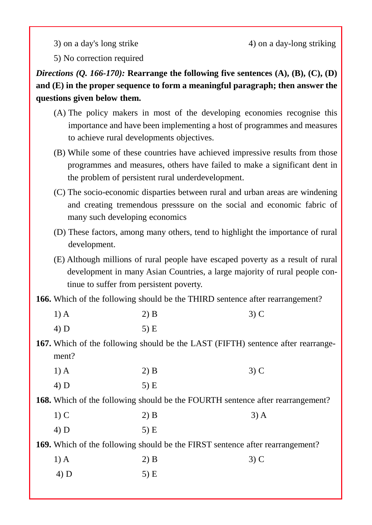$3)$  on a day's long strike  $4)$  on a day-long striking

5) No correction required

*Directions (Q. 166-170):* **Rearrange the following five sentences (A), (B), (C), (D) and (E) in the proper sequence to form a meaningful paragraph; then answer the questions given below them.**

- (A) The policy makers in most of the developing economies recognise this importance and have been implementing a host of programmes and measures to achieve rural developments objectives.
- (B) While some of these countries have achieved impressive results from those programmes and measures, others have failed to make a significant dent in the problem of persistent rural underdevelopment.
- (C) The socio-economic disparties between rural and urban areas are windening and creating tremendous presssure on the social and economic fabric of many such developing economics
- (D) These factors, among many others, tend to highlight the importance of rural development.
- (E) Although millions of rural people have escaped poverty as a result of rural development in many Asian Countries, a large majority of rural people continue to suffer from persistent poverty.

**166.** Which of the following should be the THIRD sentence after rearrangement?

| $1)$ A | $2)$ B | $3)$ C |
|--------|--------|--------|
| 4) D   | $5)$ E |        |

**167.** Which of the following should be the LAST (FIFTH) sentence after rearrange ment?

| $1)$ A | $2)$ B | $3)$ C |
|--------|--------|--------|
| 4) D   | $5)$ E |        |

**168.** Which of the following should be the FOURTH sentence after rearrangement?

| $1)$ C | $2)$ B | $3)$ A |
|--------|--------|--------|
| 4) D   | $5)$ E |        |

**169.** Which of the following should be the FIRST sentence after rearrangement?

| $1)$ A | $2)$ B | $3)$ C |
|--------|--------|--------|
| 4) D   | $5)$ E |        |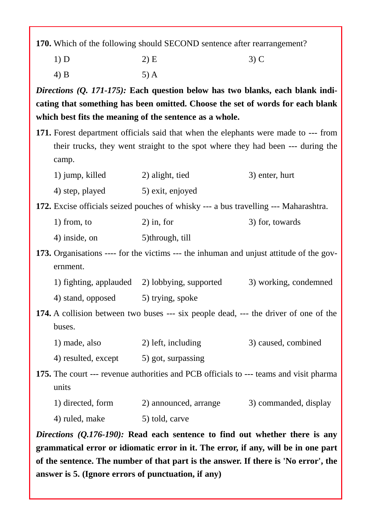**170.** Which of the following should SECOND sentence after rearrangement?

1) D 2) E 3) C

4) B 5) A

*Directions (Q. 171-175):* **Each question below has two blanks, each blank indi cating that something has been omitted. Choose the set of words for each blank which best fits the meaning of the sentence as a whole.**

**171.** Forest department officials said that when the elephants were made to --- from their trucks, they went straight to the spot where they had been --- during the camp.

| 1) jump, killed | 2) alight, tied  | 3) enter, hurt |
|-----------------|------------------|----------------|
| 4) step, played | 5) exit, enjoyed |                |

**172.** Excise officials seized pouches of whisky --- a bus travelling --- Maharashtra.

| $1)$ from, to | $2)$ in, for | 3) for, towards |
|---------------|--------------|-----------------|
|---------------|--------------|-----------------|

4) inside, on 5)through, till

**173.** Organisations ---- for the victims --- the inhuman and unjust attitude of the gov ernment.

1) fighting, applauded 2) lobbying, supported 3) working, condemned

4) stand, opposed 5) trying, spoke

**174.** A collision between two buses --- six people dead, --- the driver of one of the buses.

1) made, also 2) left, including 3) caused, combined

4) resulted, except 5) got, surpassing

**175.** The court --- revenue authorities and PCB officials to --- teams and visit pharma units

| 1) directed, form | 2) announced, arrange | 3) commanded, display |  |
|-------------------|-----------------------|-----------------------|--|
| 4) ruled, make    | 5) told, carve        |                       |  |

*Directions (Q.176-190):* **Read each sentence to find out whether there is any grammatical error or idiomatic error in it. The error, if any, will be in one part of the sentence. The number of that part is the answer. If there is 'No error', the answer is 5. (Ignore errors of punctuation, if any)**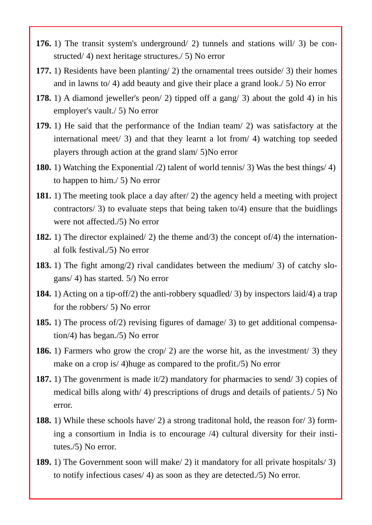- **176.** 1) The transit system's underground/ 2) tunnels and stations will/ 3) be con structed/ 4) next heritage structures./ 5) No error
- **177.** 1) Residents have been planting/ 2) the ornamental trees outside/ 3) their homes and in lawns to/ 4) add beauty and give their place a grand look./ 5) No error
- **178.** 1) A diamond jeweller's peon/ 2) tipped off a gang/ 3) about the gold 4) in his employer's vault./ 5) No error
- **179.** 1) He said that the performance of the Indian team/ 2) was satisfactory at the international meet/ 3) and that they learnt a lot from/ 4) watching top seeded players through action at the grand slam/ 5)No error
- **180.** 1) Watching the Exponential /2) talent of world tennis/ 3) Was the best things/ 4) to happen to him./ 5) No error
- **181.** 1) The meeting took place a day after/ 2) the agency held a meeting with project contractors/ 3) to evaluate steps that being taken to/4) ensure that the buidlings were not affected./5) No error
- **182.** 1) The director explained/ 2) the theme and/3) the concept of/4) the international folk festival./5) No error
- **183.** 1) The fight among/2) rival candidates between the medium/ 3) of catchy slo gans/ 4) has started. 5/) No error
- **184.** 1) Acting on a tip-off/2) the anti-robbery squadled/ 3) by inspectors laid/4) a trap for the robbers/ 5) No error
- **185.** 1) The process of/2) revising figures of damage/ 3) to get additional compensation/4) has began./5) No error
- **186.** 1) Farmers who grow the crop/ 2) are the worse hit, as the investment/ 3) they make on a crop is/ 4)huge as compared to the profit./5) No error
- **187.** 1) The govenrment is made it/2) mandatory for pharmacies to send/ 3) copies of medical bills along with/ 4) prescriptions of drugs and details of patients./ 5) No error.
- **188.** 1) While these schools have/ 2) a strong traditonal hold, the reason for/ 3) forming a consortium in India is to encourage /4) cultural diversity for their institutes./5) No error.
- **189.** 1) The Government soon will make/ 2) it mandatory for all private hospitals/ 3) to notify infectious cases/ 4) as soon as they are detected./5) No error.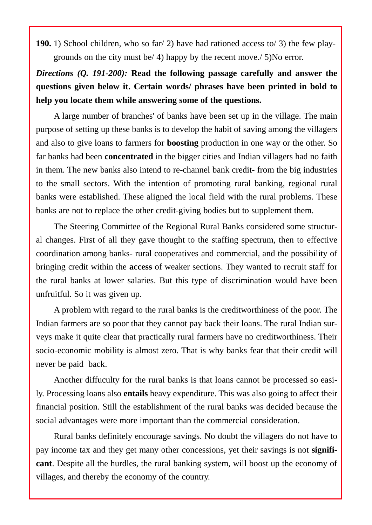**190.** 1) School children, who so far/ 2) have had rationed access to/ 3) the few play grounds on the city must be/ 4) happy by the recent move./ 5)No error.

## *Directions (Q. 191-200):* **Read the following passage carefully and answer the questions given below it. Certain words/ phrases have been printed in bold to help you locate them while answering some of the questions.**

A large number of branches' of banks have been set up in the village. The main purpose of setting up these banks is to develop the habit of saving among the villagers and also to give loans to farmers for **boosting** production in one way or the other. So far banks had been **concentrated** in the bigger cities and Indian villagers had no faith in them. The new banks also intend to re-channel bank credit- from the big industries to the small sectors. With the intention of promoting rural banking, regional rural banks were established. These aligned the local field with the rural problems. These banks are not to replace the other credit-giving bodies but to supplement them.

The Steering Committee of the Regional Rural Banks considered some structur al changes. First of all they gave thought to the staffing spectrum, then to effective coordination among banks- rural cooperatives and commercial, and the possibility of bringing credit within the **access** of weaker sections. They wanted to recruit staff for the rural banks at lower salaries. But this type of discrimination would have been unfruitful. So it was given up.

A problem with regard to the rural banks is the creditworthiness of the poor. The Indian farmers are so poor that they cannot pay back their loans. The rural Indian sur veys make it quite clear that practically rural farmers have no creditworthiness. Their socio-economic mobility is almost zero. That is why banks fear that their credit will never be paid back.

Another diffuculty for the rural banks is that loans cannot be processed so easily. Processing loans also **entails** heavy expenditure. This was also going to affect their financial position. Still the establishment of the rural banks was decided because the social advantages were more important than the commercial consideration.

Rural banks definitely encourage savings. No doubt the villagers do not have to pay income tax and they get many other concessions, yet their savings is not **signifi cant**. Despite all the hurdles, the rural banking system, will boost up the economy of villages, and thereby the economy of the country.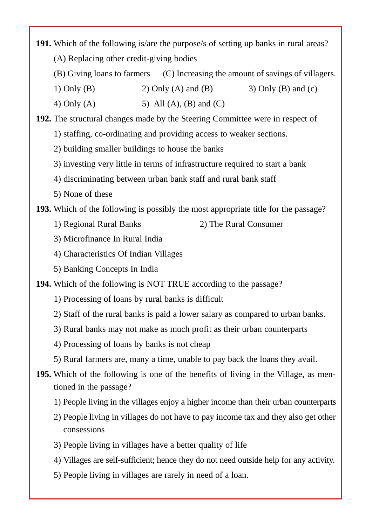**191.** Which of the following is/are the purpose/s of setting up banks in rural areas? (A) Replacing other credit-giving bodies

- (B) Giving loans to farmers (C) Increasing the amount of savings of villagers.
- 1) Only (B) 2) Only (A) and (B) 3) Only (B) and (c)
- 4) Only (A) 5) All (A), (B) and (C)

**192.** The structural changes made by the Steering Committee were in respect of

- 1) staffing, co-ordinating and providing access to weaker sections.
- 2) building smaller buildings to house the banks
- 3) investing very little in terms of infrastructure required to start a bank
- 4) discriminating between urban bank staff and rural bank staff
- 5) None of these

**193.** Which of the following is possibly the most appropriate title for the passage?

- 1) Regional Rural Banks 2) The Rural Consumer
- 3) Microfinance In Rural India
- 4) Characteristics Of Indian Villages
- 5) Banking Concepts In India

**194.** Which of the following is NOT TRUE according to the passage?

- 1) Processing of loans by rural banks is difficult
- 2) Staff of the rural banks is paid a lower salary as compared to urban banks.
- 3) Rural banks may not make as much profit as their urban counterparts
- 4) Processing of loans by banks is not cheap
- 5) Rural farmers are, many a time, unable to pay back the loans they avail.
- **195.** Which of the following is one of the benefits of living in the Village, as mentioned in the passage?
	- 1) People living in the villages enjoy a higher income than their urban counterparts
	- 2) People living in villages do not have to pay income tax and they also get other consessions
	- 3) People living in villages have a better quality of life
	- 4) Villages are self-sufficient; hence they do not need outside help for any activity.
	- 5) People living in villages are rarely in need of a loan.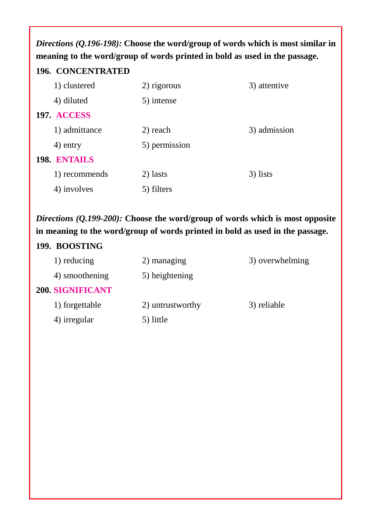*Directions (Q.196-198):* **Choose the word/group of words which is most similar in meaning to the word/group of words printed in bold as used in the passage.**

#### **196. CONCENTRATED**

| 1) clustered  | 2) rigorous   | 3) attentive |
|---------------|---------------|--------------|
| 4) diluted    | 5) intense    |              |
| 197. ACCESS   |               |              |
| 1) admittance | 2) reach      | 3) admission |
| 4) entry      | 5) permission |              |
| 198. ENTAILS  |               |              |
| 1) recommends | 2) lasts      | 3) lists     |
| 4) involves   | 5) filters    |              |

*Directions (Q.199-200):* **Choose the word/group of words which is most opposite in meaning to the word/group of words printed in bold as used in the passage.**

## **199. BOOSTING**

| 1) reducing             | 2) managing      | 3) overwhelming |
|-------------------------|------------------|-----------------|
| 4) smoothening          | 5) heightening   |                 |
| <b>200. SIGNIFICANT</b> |                  |                 |
| 1) forgettable          | 2) untrustworthy | 3) reliable     |
| 4) irregular            | 5) little        |                 |